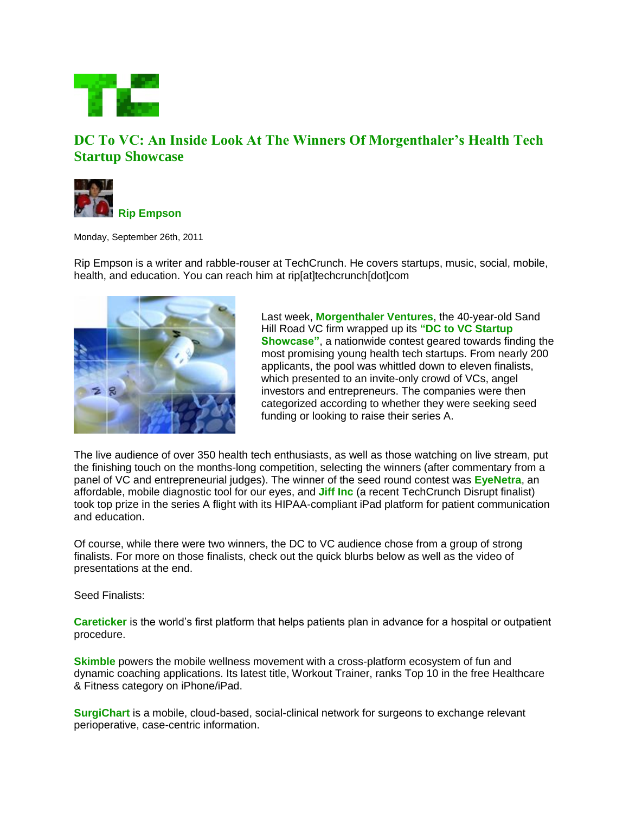

## **DC To VC: An Inside Look At The Winners Of Morgenthaler's Health Tech Startup Showcase**



Monday, September 26th, 2011

Rip Empson is a writer and rabble-rouser at TechCrunch. He covers startups, music, social, mobile, health, and education. You can reach him at rip[at]techcrunch[dot]com



Last week, **Morgenthaler Ventures**, the 40-year-old Sand Hill Road VC firm wrapped up its **"DC to VC Startup Showcase"**, a nationwide contest geared towards finding the most promising young health tech startups. From nearly 200 applicants, the pool was whittled down to eleven finalists, which presented to an invite-only crowd of VCs, angel investors and entrepreneurs. The companies were then categorized according to whether they were seeking seed funding or looking to raise their series A.

The live audience of over 350 health tech enthusiasts, as well as those watching on live stream, put the finishing touch on the months-long competition, selecting the winners (after commentary from a panel of VC and entrepreneurial judges). The winner of the seed round contest was **EyeNetra**, an affordable, mobile diagnostic tool for our eyes, and **Jiff Inc** (a recent TechCrunch Disrupt finalist) took top prize in the series A flight with its HIPAA-compliant iPad platform for patient communication and education.

Of course, while there were two winners, the DC to VC audience chose from a group of strong finalists. For more on those finalists, check out the quick blurbs below as well as the video of presentations at the end.

Seed Finalists:

**Careticker** is the world's first platform that helps patients plan in advance for a hospital or outpatient procedure.

**Skimble** powers the mobile wellness movement with a cross-platform ecosystem of fun and dynamic coaching applications. Its latest title, Workout Trainer, ranks Top 10 in the free Healthcare & Fitness category on iPhone/iPad.

**SurgiChart** is a mobile, cloud-based, social-clinical network for surgeons to exchange relevant perioperative, case-centric information.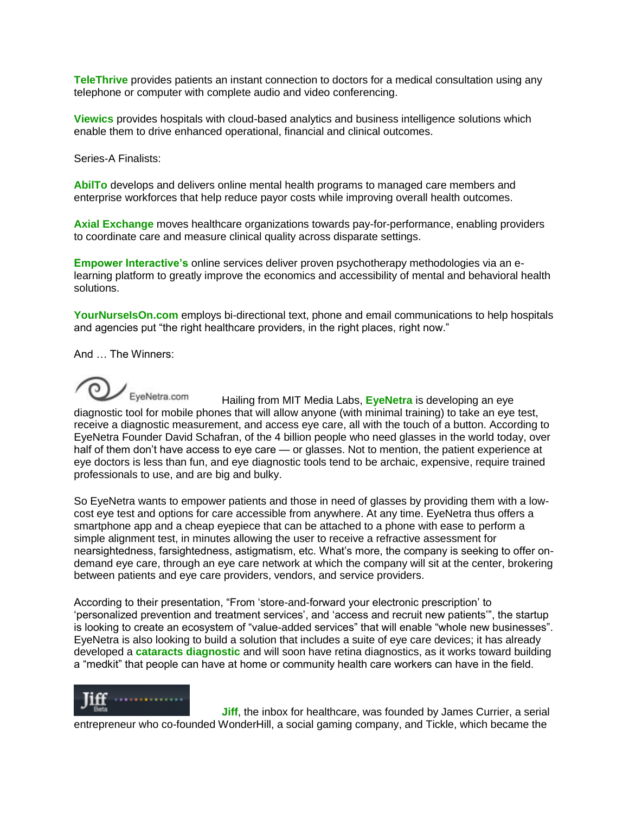**TeleThrive** provides patients an instant connection to doctors for a medical consultation using any telephone or computer with complete audio and video conferencing.

**Viewics** provides hospitals with cloud-based analytics and business intelligence solutions which enable them to drive enhanced operational, financial and clinical outcomes.

Series-A Finalists:

**AbilTo** develops and delivers online mental health programs to managed care members and enterprise workforces that help reduce payor costs while improving overall health outcomes.

**Axial Exchange** moves healthcare organizations towards pay-for-performance, enabling providers to coordinate care and measure clinical quality across disparate settings.

**Empower Interactive's** online services deliver proven psychotherapy methodologies via an elearning platform to greatly improve the economics and accessibility of mental and behavioral health solutions.

YourNurselsOn.com employs bi-directional text, phone and email communications to help hospitals and agencies put "the right healthcare providers, in the right places, right now."

And … The Winners:

EyeNetra.com Hailing from MIT Media Labs, **EyeNetra** is developing an eye diagnostic tool for mobile phones that will allow anyone (with minimal training) to take an eye test, receive a diagnostic measurement, and access eye care, all with the touch of a button. According to EyeNetra Founder David Schafran, of the 4 billion people who need glasses in the world today, over half of them don't have access to eye care - or glasses. Not to mention, the patient experience at eye doctors is less than fun, and eye diagnostic tools tend to be archaic, expensive, require trained professionals to use, and are big and bulky.

So EyeNetra wants to empower patients and those in need of glasses by providing them with a lowcost eye test and options for care accessible from anywhere. At any time. EyeNetra thus offers a smartphone app and a cheap eyepiece that can be attached to a phone with ease to perform a simple alignment test, in minutes allowing the user to receive a refractive assessment for nearsightedness, farsightedness, astigmatism, etc. What's more, the company is seeking to offer ondemand eye care, through an eye care network at which the company will sit at the center, brokering between patients and eye care providers, vendors, and service providers.

According to their presentation, "From 'store-and-forward your electronic prescription' to 'personalized prevention and treatment services', and 'access and recruit new patients'", the startup is looking to create an ecosystem of "value-added services" that will enable "whole new businesses". EyeNetra is also looking to build a solution that includes a suite of eye care devices; it has already developed a **cataracts diagnostic** and will soon have retina diagnostics, as it works toward building a "medkit" that people can have at home or community health care workers can have in the field.



**Jiff**, the inbox for healthcare, was founded by James Currier, a serial entrepreneur who co-founded WonderHill, a social gaming company, and Tickle, which became the